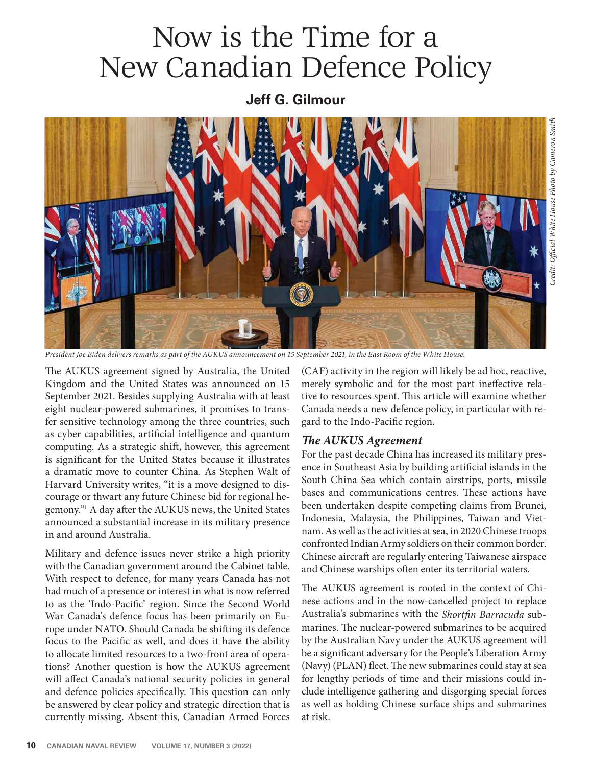# Now is the Time for a New Canadian Defence Policy

## **Jeff G. Gilmour**



*President Joe Biden delivers remarks as part of the AUKUS announcement on 15 September 2021, in the East Room of the White House.* 

The AUKUS agreement signed by Australia, the United Kingdom and the United States was announced on 15 September 2021. Besides supplying Australia with at least eight nuclear-powered submarines, it promises to transfer sensitive technology among the three countries, such as cyber capabilities, artificial intelligence and quantum computing. As a strategic shift, however, this agreement is significant for the United States because it illustrates a dramatic move to counter China. As Stephen Walt of Harvard University writes, "it is a move designed to discourage or thwart any future Chinese bid for regional hegemony."<sup>1</sup> A day after the AUKUS news, the United States announced a substantial increase in its military presence in and around Australia.

Military and defence issues never strike a high priority with the Canadian government around the Cabinet table. With respect to defence, for many years Canada has not had much of a presence or interest in what is now referred to as the 'Indo-Pacific' region. Since the Second World War Canada's defence focus has been primarily on Europe under NATO. Should Canada be shifting its defence focus to the Pacific as well, and does it have the ability to allocate limited resources to a two-front area of operations? Another question is how the AUKUS agreement will affect Canada's national security policies in general and defence policies specifically. This question can only be answered by clear policy and strategic direction that is currently missing. Absent this, Canadian Armed Forces

(CAF) activity in the region will likely be ad hoc, reactive, merely symbolic and for the most part ineffective relative to resources spent. This article will examine whether Canada needs a new defence policy, in particular with regard to the Indo-Pacific region.

#### *e AUKUS Agreement*

For the past decade China has increased its military presence in Southeast Asia by building artificial islands in the South China Sea which contain airstrips, ports, missile bases and communications centres. These actions have been undertaken despite competing claims from Brunei, Indonesia, Malaysia, the Philippines, Taiwan and Vietnam. As well as the activities at sea, in 2020 Chinese troops confronted Indian Army soldiers on their common border. Chinese aircraft are regularly entering Taiwanese airspace and Chinese warships often enter its territorial waters.

The AUKUS agreement is rooted in the context of Chinese actions and in the now-cancelled project to replace Australia's submarines with the *Shortfin Barracuda* submarines. The nuclear-powered submarines to be acquired by the Australian Navy under the AUKUS agreement will be a significant adversary for the People's Liberation Army (Navy) (PLAN) fleet. The new submarines could stay at sea for lengthy periods of time and their missions could include intelligence gathering and disgorging special forces as well as holding Chinese surface ships and submarines at risk.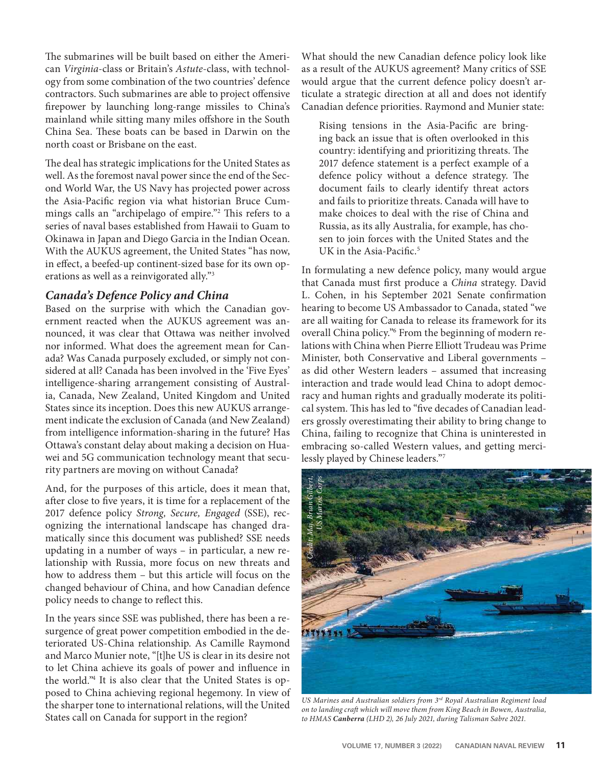The submarines will be built based on either the American *Virginia*-class or Britain's *Astute*-class, with technology from some combination of the two countries' defence contractors. Such submarines are able to project offensive firepower by launching long-range missiles to China's mainland while sitting many miles offshore in the South China Sea. These boats can be based in Darwin on the north coast or Brisbane on the east.

The deal has strategic implications for the United States as well. As the foremost naval power since the end of the Second World War, the US Navy has projected power across the Asia-Pacific region via what historian Bruce Cummings calls an "archipelago of empire."<sup>2</sup> This refers to a series of naval bases established from Hawaii to Guam to Okinawa in Japan and Diego Garcia in the Indian Ocean. With the AUKUS agreement, the United States "has now, in effect, a beefed-up continent-sized base for its own operations as well as a reinvigorated ally."3

### *Canada's Defence Policy and China*

Based on the surprise with which the Canadian government reacted when the AUKUS agreement was announced, it was clear that Ottawa was neither involved nor informed. What does the agreement mean for Canada? Was Canada purposely excluded, or simply not considered at all? Canada has been involved in the 'Five Eyes' intelligence-sharing arrangement consisting of Australia, Canada, New Zealand, United Kingdom and United States since its inception. Does this new AUKUS arrangement indicate the exclusion of Canada (and New Zealand) from intelligence information-sharing in the future? Has Ottawa's constant delay about making a decision on Huawei and 5G communication technology meant that security partners are moving on without Canada?

And, for the purposes of this article, does it mean that, after close to five years, it is time for a replacement of the 2017 defence policy *Strong, Secure, Engaged* (SSE), recognizing the international landscape has changed dramatically since this document was published? SSE needs updating in a number of ways – in particular, a new relationship with Russia, more focus on new threats and how to address them – but this article will focus on the changed behaviour of China, and how Canadian defence policy needs to change to reflect this.

In the years since SSE was published, there has been a resurgence of great power competition embodied in the deteriorated US-China relationship. As Camille Raymond and Marco Munier note, "[t]he US is clear in its desire not to let China achieve its goals of power and influence in the world."4 It is also clear that the United States is opposed to China achieving regional hegemony. In view of the sharper tone to international relations, will the United States call on Canada for support in the region?

What should the new Canadian defence policy look like as a result of the AUKUS agreement? Many critics of SSE would argue that the current defence policy doesn't articulate a strategic direction at all and does not identify Canadian defence priorities. Raymond and Munier state:

Rising tensions in the Asia-Pacific are bringing back an issue that is often overlooked in this country: identifying and prioritizing threats. The 2017 defence statement is a perfect example of a defence policy without a defence strategy. The document fails to clearly identify threat actors and fails to prioritize threats. Canada will have to make choices to deal with the rise of China and Russia, as its ally Australia, for example, has chosen to join forces with the United States and the UK in the Asia-Pacific. $5$ 

In formulating a new defence policy, many would argue that Canada must first produce a *China* strategy. David L. Cohen, in his September 2021 Senate confirmation hearing to become US Ambassador to Canada, stated "we are all waiting for Canada to release its framework for its overall China policy."6 From the beginning of modern relations with China when Pierre Elliott Trudeau was Prime Minister, both Conservative and Liberal governments – as did other Western leaders – assumed that increasing interaction and trade would lead China to adopt democracy and human rights and gradually moderate its political system. This has led to "five decades of Canadian leaders grossly overestimating their ability to bring change to China, failing to recognize that China is uninterested in embracing so-called Western values, and getting mercilessly played by Chinese leaders."7



*US Marines and Australian soldiers from 3rd Royal Australian Regiment load on to landing craft which will move them from King Beach in Bowen, Australia,*<br>to HMAS **Canberra** (LHD 2), 26 July 2021, during Talisman Sabre 2021.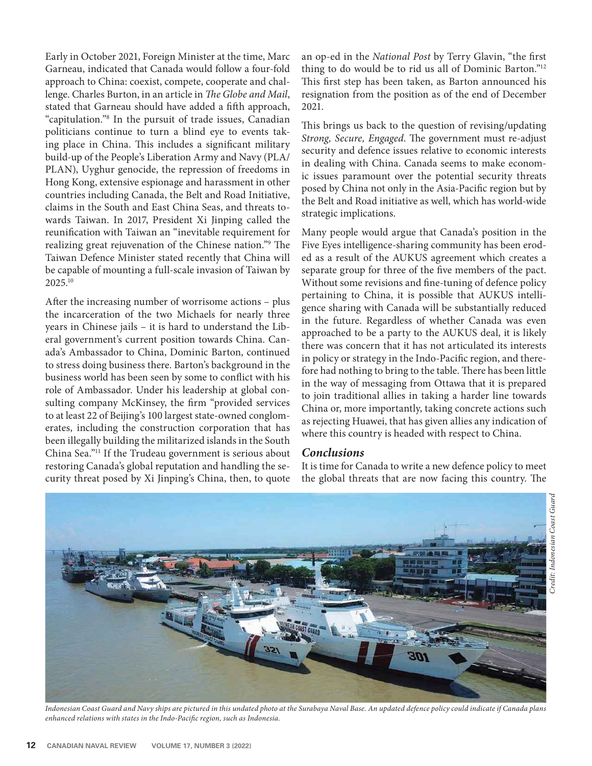Early in October 2021, Foreign Minister at the time, Marc Garneau, indicated that Canada would follow a four-fold approach to China: coexist, compete, cooperate and challenge. Charles Burton, in an article in *The Globe and Mail*, stated that Garneau should have added a fifth approach, "capitulation."8 In the pursuit of trade issues, Canadian politicians continue to turn a blind eye to events taking place in China. This includes a significant military build-up of the People's Liberation Army and Navy (PLA/ PLAN), Uyghur genocide, the repression of freedoms in Hong Kong, extensive espionage and harassment in other countries including Canada, the Belt and Road Initiative, claims in the South and East China Seas, and threats towards Taiwan. In 2017, President Xi Jinping called the reunification with Taiwan an "inevitable requirement for realizing great rejuvenation of the Chinese nation."<sup>9</sup> The Taiwan Defence Minister stated recently that China will be capable of mounting a full-scale invasion of Taiwan by 2025.10

After the increasing number of worrisome actions - plus the incarceration of the two Michaels for nearly three years in Chinese jails – it is hard to understand the Liberal government's current position towards China. Canada's Ambassador to China, Dominic Barton, continued to stress doing business there. Barton's background in the business world has been seen by some to conflict with his role of Ambassador. Under his leadership at global consulting company McKinsey, the firm "provided services to at least 22 of Beijing's 100 largest state-owned conglomerates, including the construction corporation that has been illegally building the militarized islands in the South China Sea."11 If the Trudeau government is serious about restoring Canada's global reputation and handling the security threat posed by Xi Jinping's China, then, to quote

an op-ed in the *National Post* by Terry Glavin, "the first thing to do would be to rid us all of Dominic Barton."12 This first step has been taken, as Barton announced his resignation from the position as of the end of December 2021.

This brings us back to the question of revising/updating Strong, Secure, Engaged. The government must re-adjust security and defence issues relative to economic interests in dealing with China. Canada seems to make economic issues paramount over the potential security threats posed by China not only in the Asia-Pacific region but by the Belt and Road initiative as well, which has world-wide strategic implications.

Many people would argue that Canada's position in the Five Eyes intelligence-sharing community has been eroded as a result of the AUKUS agreement which creates a separate group for three of the five members of the pact. Without some revisions and fine-tuning of defence policy pertaining to China, it is possible that AUKUS intelligence sharing with Canada will be substantially reduced in the future. Regardless of whether Canada was even approached to be a party to the AUKUS deal, it is likely there was concern that it has not articulated its interests in policy or strategy in the Indo-Pacific region, and therefore had nothing to bring to the table. There has been little in the way of messaging from Ottawa that it is prepared to join traditional allies in taking a harder line towards China or, more importantly, taking concrete actions such as rejecting Huawei, that has given allies any indication of where this country is headed with respect to China.

### *Conclusions*

It is time for Canada to write a new defence policy to meet the global threats that are now facing this country. The



*Indonesian Coast Guard and Navy ships are pictured in this undated photo at the Surabaya Naval Base. An updated defence policy could indicate if Canada plans*  enhanced relations with states in the Indo-Pacific region, such as Indonesia.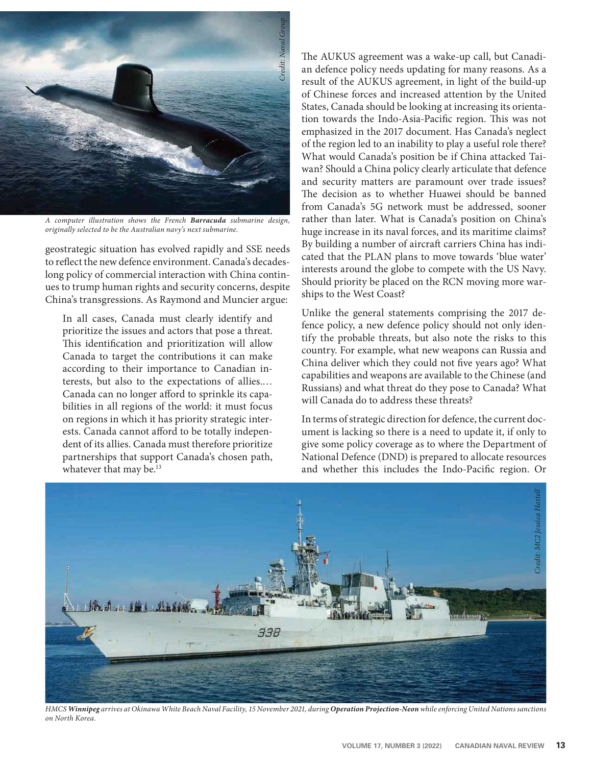

*A computer illustration shows the French Barracuda submarine design, originally selected to be the Australian navy's next submarine.*

geostrategic situation has evolved rapidly and SSE needs to reflect the new defence environment. Canada's decadeslong policy of commercial interaction with China continues to trump human rights and security concerns, despite China's transgressions. As Raymond and Muncier argue:

In all cases, Canada must clearly identify and prioritize the issues and actors that pose a threat. This identification and prioritization will allow Canada to target the contributions it can make according to their importance to Canadian interests, but also to the expectations of allies.… Canada can no longer afford to sprinkle its capabilities in all regions of the world: it must focus on regions in which it has priority strategic interests. Canada cannot afford to be totally independent of its allies. Canada must therefore prioritize partnerships that support Canada's chosen path, whatever that may be.<sup>13</sup>

The AUKUS agreement was a wake-up call, but Canadian defence policy needs updating for many reasons. As a result of the AUKUS agreement, in light of the build-up of Chinese forces and increased attention by the United States, Canada should be looking at increasing its orientation towards the Indo-Asia-Pacific region. This was not emphasized in the 2017 document. Has Canada's neglect of the region led to an inability to play a useful role there? What would Canada's position be if China attacked Taiwan? Should a China policy clearly articulate that defence and security matters are paramount over trade issues? The decision as to whether Huawei should be banned from Canada's 5G network must be addressed, sooner rather than later. What is Canada's position on China's huge increase in its naval forces, and its maritime claims? By building a number of aircraft carriers China has indicated that the PLAN plans to move towards 'blue water' interests around the globe to compete with the US Navy. Should priority be placed on the RCN moving more warships to the West Coast?

Unlike the general statements comprising the 2017 defence policy, a new defence policy should not only identify the probable threats, but also note the risks to this country. For example, what new weapons can Russia and China deliver which they could not five years ago? What capabilities and weapons are available to the Chinese (and Russians) and what threat do they pose to Canada? What will Canada do to address these threats?

In terms of strategic direction for defence, the current document is lacking so there is a need to update it, if only to give some policy coverage as to where the Department of National Defence (DND) is prepared to allocate resources and whether this includes the Indo-Pacific region. Or



*HMCS Winnipeg arrives at Okinawa White Beach Naval Facility, 15 November 2021, during Operation Projection-Neon while enforcing United Nations sanctions on North Korea.*